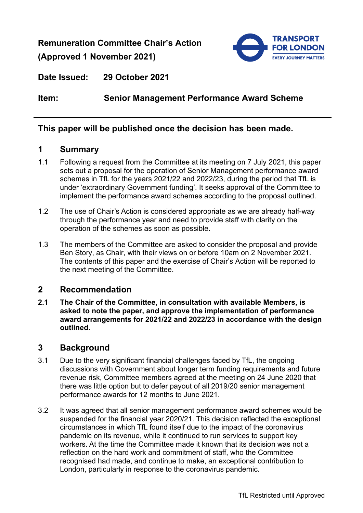**Remuneration Committee Chair's Action (Approved 1 November 2021)**



**Date Issued: 29 October 2021** 

## **Item: Senior Management Performance Award Scheme**

## **This paper will be published once the decision has been made.**

## **1 Summary**

- 1.1 Following a request from the Committee at its meeting on 7 July 2021, this paper sets out a proposal for the operation of Senior Management performance award schemes in TfL for the years 2021/22 and 2022/23, during the period that TfL is under 'extraordinary Government funding'. It seeks approval of the Committee to implement the performance award schemes according to the proposal outlined.
- 1.2 The use of Chair's Action is considered appropriate as we are already half-way through the performance year and need to provide staff with clarity on the operation of the schemes as soon as possible.
- 1.3 The members of the Committee are asked to consider the proposal and provide Ben Story, as Chair, with their views on or before 10am on 2 November 2021. The contents of this paper and the exercise of Chair's Action will be reported to the next meeting of the Committee.

## **2 Recommendation**

**2.1 The Chair of the Committee, in consultation with available Members, is asked to note the paper, and approve the implementation of performance award arrangements for 2021/22 and 2022/23 in accordance with the design outlined.**

## **3 Background**

- 3.1 Due to the very significant financial challenges faced by TfL, the ongoing discussions with Government about longer term funding requirements and future revenue risk, Committee members agreed at the meeting on 24 June 2020 that there was little option but to defer payout of all 2019/20 senior management performance awards for 12 months to June 2021.
- 3.2 It was agreed that all senior management performance award schemes would be suspended for the financial year 2020/21. This decision reflected the exceptional circumstances in which TfL found itself due to the impact of the coronavirus pandemic on its revenue, while it continued to run services to support key workers. At the time the Committee made it known that its decision was not a reflection on the hard work and commitment of staff, who the Committee recognised had made, and continue to make, an exceptional contribution to London, particularly in response to the coronavirus pandemic.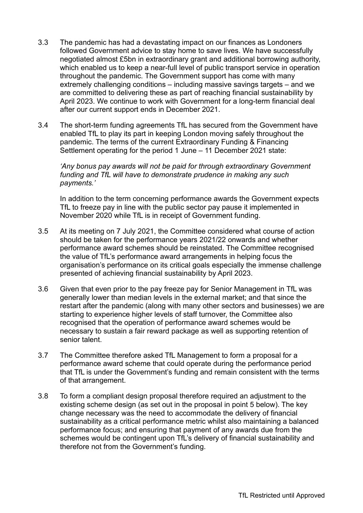- 3.3 The pandemic has had a devastating impact on our finances as Londoners followed Government advice to stay home to save lives. We have successfully negotiated almost £5bn in extraordinary grant and additional borrowing authority, which enabled us to keep a near-full level of public transport service in operation throughout the pandemic. The Government support has come with many extremely challenging conditions – including massive savings targets – and we are committed to delivering these as part of reaching financial sustainability by April 2023. We continue to work with Government for a long-term financial deal after our current support ends in December 2021.
- 3.4 The short-term funding agreements TfL has secured from the Government have enabled TfL to play its part in keeping London moving safely throughout the pandemic. The terms of the current Extraordinary Funding & Financing Settlement operating for the period 1 June – 11 December 2021 state:

*'Any bonus pay awards will not be paid for through extraordinary Government funding and TfL will have to demonstrate prudence in making any such payments.'*

In addition to the term concerning performance awards the Government expects TfL to freeze pay in line with the public sector pay pause it implemented in November 2020 while TfL is in receipt of Government funding.

- 3.5 At its meeting on 7 July 2021, the Committee considered what course of action should be taken for the performance years 2021/22 onwards and whether performance award schemes should be reinstated. The Committee recognised the value of TfL's performance award arrangements in helping focus the organisation's performance on its critical goals especially the immense challenge presented of achieving financial sustainability by April 2023.
- 3.6 Given that even prior to the pay freeze pay for Senior Management in TfL was generally lower than median levels in the external market; and that since the restart after the pandemic (along with many other sectors and businesses) we are starting to experience higher levels of staff turnover, the Committee also recognised that the operation of performance award schemes would be necessary to sustain a fair reward package as well as supporting retention of senior talent.
- 3.7 The Committee therefore asked TfL Management to form a proposal for a performance award scheme that could operate during the performance period that TfL is under the Government's funding and remain consistent with the terms of that arrangement.
- 3.8 To form a compliant design proposal therefore required an adjustment to the existing scheme design (as set out in the proposal in point 5 below). The key change necessary was the need to accommodate the delivery of financial sustainability as a critical performance metric whilst also maintaining a balanced performance focus; and ensuring that payment of any awards due from the schemes would be contingent upon TfL's delivery of financial sustainability and therefore not from the Government's funding.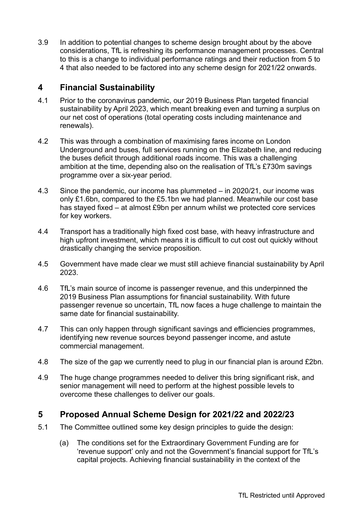3.9 In addition to potential changes to scheme design brought about by the above considerations, TfL is refreshing its performance management processes. Central to this is a change to individual performance ratings and their reduction from 5 to 4 that also needed to be factored into any scheme design for 2021/22 onwards.

# **4 Financial Sustainability**

- 4.1 Prior to the coronavirus pandemic, our 2019 Business Plan targeted financial sustainability by April 2023, which meant breaking even and turning a surplus on our net cost of operations (total operating costs including maintenance and renewals).
- 4.2 This was through a combination of maximising fares income on London Underground and buses, full services running on the Elizabeth line, and reducing the buses deficit through additional roads income. This was a challenging ambition at the time, depending also on the realisation of TfL's £730m savings programme over a six-year period.
- 4.3 Since the pandemic, our income has plummeted in 2020/21, our income was only £1.6bn, compared to the £5.1bn we had planned. Meanwhile our cost base has stayed fixed – at almost £9bn per annum whilst we protected core services for key workers.
- 4.4 Transport has a traditionally high fixed cost base, with heavy infrastructure and high upfront investment, which means it is difficult to cut cost out quickly without drastically changing the service proposition.
- 4.5 Government have made clear we must still achieve financial sustainability by April 2023.
- 4.6 TfL's main source of income is passenger revenue, and this underpinned the 2019 Business Plan assumptions for financial sustainability. With future passenger revenue so uncertain, TfL now faces a huge challenge to maintain the same date for financial sustainability.
- 4.7 This can only happen through significant savings and efficiencies programmes, identifying new revenue sources beyond passenger income, and astute commercial management.
- 4.8 The size of the gap we currently need to plug in our financial plan is around £2bn.
- 4.9 The huge change programmes needed to deliver this bring significant risk, and senior management will need to perform at the highest possible levels to overcome these challenges to deliver our goals.

# **5 Proposed Annual Scheme Design for 2021/22 and 2022/23**

- 5.1 The Committee outlined some key design principles to guide the design:
	- (a) The conditions set for the Extraordinary Government Funding are for 'revenue support' only and not the Government's financial support for TfL's capital projects. Achieving financial sustainability in the context of the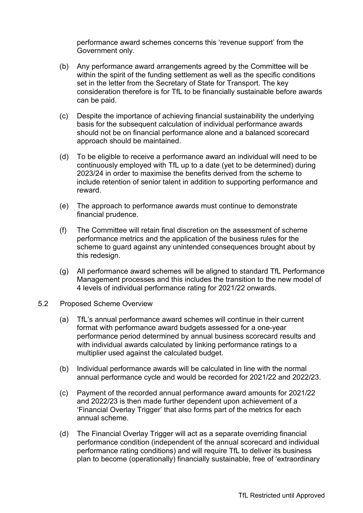performance award schemes concerns this 'revenue support' from the Government only.

- (b) Any performance award arrangements agreed by the Committee will be within the spirit of the funding settlement as well as the specific conditions set in the letter from the Secretary of State for Transport. The key consideration therefore is for TfL to be financially sustainable before awards can be paid.
- (c) Despite the importance of achieving financial sustainability the underlying basis for the subsequent calculation of individual performance awards should not be on financial performance alone and a balanced scorecard approach should be maintained.
- (d) To be eligible to receive a performance award an individual will need to be continuously employed with TfL up to a date (yet to be determined) during 2023/24 in order to maximise the benefits derived from the scheme to include retention of senior talent in addition to supporting performance and reward.
- (e) The approach to performance awards must continue to demonstrate financial prudence.
- (f) The Committee will retain final discretion on the assessment of scheme performance metrics and the application of the business rules for the scheme to guard against any unintended consequences brought about by this redesign.
- (g) All performance award schemes will be aligned to standard TfL Performance Management processes and this includes the transition to the new model of 4 levels of individual performance rating for 2021/22 onwards.
- 5.2 Proposed Scheme Overview
	- (a) TfL's annual performance award schemes will continue in their current format with performance award budgets assessed for a one-year performance period determined by annual business scorecard results and with individual awards calculated by linking performance ratings to a multiplier used against the calculated budget.
	- (b) Individual performance awards will be calculated in line with the normal annual performance cycle and would be recorded for 2021/22 and 2022/23.
	- (c) Payment of the recorded annual performance award amounts for 2021/22 and 2022/23 is then made further dependent upon achievement of a 'Financial Overlay Trigger' that also forms part of the metrics for each annual scheme.
	- (d) The Financial Overlay Trigger will act as a separate overriding financial performance condition (independent of the annual scorecard and individual performance rating conditions) and will require TfL to deliver its business plan to become (operationally) financially sustainable, free of 'extraordinary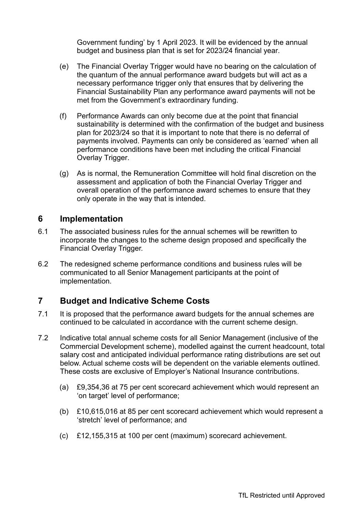Government funding' by 1 April 2023. It will be evidenced by the annual budget and business plan that is set for 2023/24 financial year.

- (e) The Financial Overlay Trigger would have no bearing on the calculation of the quantum of the annual performance award budgets but will act as a necessary performance trigger only that ensures that by delivering the Financial Sustainability Plan any performance award payments will not be met from the Government's extraordinary funding.
- (f) Performance Awards can only become due at the point that financial sustainability is determined with the confirmation of the budget and business plan for 2023/24 so that it is important to note that there is no deferral of payments involved. Payments can only be considered as 'earned' when all performance conditions have been met including the critical Financial Overlay Trigger.
- (g) As is normal, the Remuneration Committee will hold final discretion on the assessment and application of both the Financial Overlay Trigger and overall operation of the performance award schemes to ensure that they only operate in the way that is intended.

## **6 Implementation**

- 6.1 The associated business rules for the annual schemes will be rewritten to incorporate the changes to the scheme design proposed and specifically the Financial Overlay Trigger.
- 6.2 The redesigned scheme performance conditions and business rules will be communicated to all Senior Management participants at the point of implementation.

# **7 Budget and Indicative Scheme Costs**

- 7.1 It is proposed that the performance award budgets for the annual schemes are continued to be calculated in accordance with the current scheme design.
- 7.2 Indicative total annual scheme costs for all Senior Management (inclusive of the Commercial Development scheme), modelled against the current headcount, total salary cost and anticipated individual performance rating distributions are set out below. Actual scheme costs will be dependent on the variable elements outlined. These costs are exclusive of Employer's National Insurance contributions.
	- (a) £9,354,36 at 75 per cent scorecard achievement which would represent an 'on target' level of performance;
	- (b) £10,615,016 at 85 per cent scorecard achievement which would represent a 'stretch' level of performance; and
	- (c) £12,155,315 at 100 per cent (maximum) scorecard achievement.